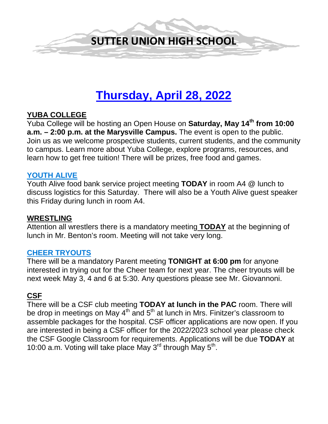

# **Thursday, April 28, 2022**

# **YUBA COLLEGE**

Yuba College will be hosting an Open House on **Saturday, May 14th from 10:00 a.m. – 2:00 p.m. at the Marysville Campus.** The event is open to the public. Join us as we welcome prospective students, current students, and the community to campus. Learn more about Yuba College, explore programs, resources, and learn how to get free tuition! There will be prizes, free food and games.

#### **YOUTH ALIVE**

Youth Alive food bank service project meeting **TODAY** in room A4 @ lunch to discuss logistics for this Saturday. There will also be a Youth Alive guest speaker this Friday during lunch in room A4.

#### **WRESTLING**

Attention all wrestlers there is a mandatory meeting **TODAY** at the beginning of lunch in Mr. Benton's room. Meeting will not take very long.

#### **CHEER TRYOUTS**

There will be a mandatory Parent meeting **TONIGHT at 6:00 pm** for anyone interested in trying out for the Cheer team for next year. The cheer tryouts will be next week May 3, 4 and 6 at 5:30. Any questions please see Mr. Giovannoni.

#### **CSF**

There will be a CSF club meeting **TODAY at lunch in the PAC** room. There will be drop in meetings on May  $4<sup>th</sup>$  and  $5<sup>th</sup>$  at lunch in Mrs. Finitzer's classroom to assemble packages for the hospital. CSF officer applications are now open. If you are interested in being a CSF officer for the 2022/2023 school year please check the CSF Google Classroom for requirements. Applications will be due **TODAY** at 10:00 a.m. Voting will take place May  $3<sup>rd</sup>$  through May  $5<sup>th</sup>$ .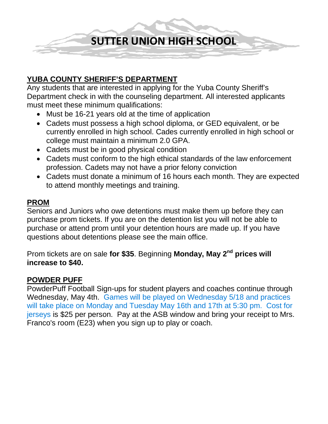**SUTTER UNION HIGH SCHOOL**

### **YUBA COUNTY SHERIFF'S DEPARTMENT**

Any students that are interested in applying for the Yuba County Sheriff's Department check in with the counseling department. All interested applicants must meet these minimum qualifications:

- Must be 16-21 years old at the time of application
- Cadets must possess a high school diploma, or GED equivalent, or be currently enrolled in high school. Cades currently enrolled in high school or college must maintain a minimum 2.0 GPA.
- Cadets must be in good physical condition
- Cadets must conform to the high ethical standards of the law enforcement profession. Cadets may not have a prior felony conviction
- Cadets must donate a minimum of 16 hours each month. They are expected to attend monthly meetings and training.

#### **PROM**

Seniors and Juniors who owe detentions must make them up before they can purchase prom tickets. If you are on the detention list you will not be able to purchase or attend prom until your detention hours are made up. If you have questions about detentions please see the main office.

Prom tickets are on sale **for \$35**. Beginning **Monday, May 2nd prices will increase to \$40.** 

# **POWDER PUFF**

PowderPuff Football Sign-ups for student players and coaches continue through Wednesday, May 4th. Games will be played on Wednesday 5/18 and practices will take place on Monday and Tuesday May 16th and 17th at 5:30 pm. Cost for jerseys is \$25 per person. Pay at the ASB window and bring your receipt to Mrs. Franco's room (E23) when you sign up to play or coach.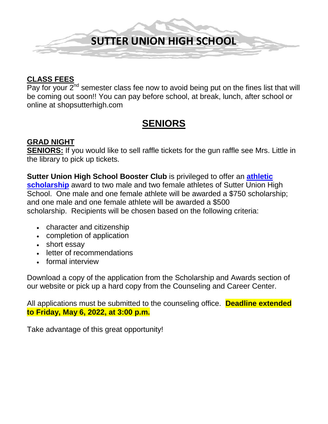

# **CLASS FEES**

Pay for your  $2^{nd}$  semester class fee now to avoid being put on the fines list that will be coming out soon!! You can pay before school, at break, lunch, after school or online at shopsutterhigh.com

# **SENIORS**

# **GRAD NIGHT**

**SENIORS:** If you would like to sell raffle tickets for the gun raffle see Mrs. Little in the library to pick up tickets.

**Sutter Union High School Booster Club** is privileged to offer an **[athletic](https://ca02205833.schoolwires.net/Page/8453)  [scholarship](https://ca02205833.schoolwires.net/Page/8453)** award to two male and two female athletes of Sutter Union High School. One male and one female athlete will be awarded a \$750 scholarship; and one male and one female athlete will be awarded a \$500 scholarship. Recipients will be chosen based on the following criteria:

- character and citizenship
- completion of application
- short essay
- letter of recommendations
- formal interview

Download a copy of the application from the Scholarship and Awards section of our website or pick up a hard copy from the Counseling and Career Center.

All applications must be submitted to the counseling office. **Deadline extended to Friday, May 6, 2022, at 3:00 p.m.**

Take advantage of this great opportunity!